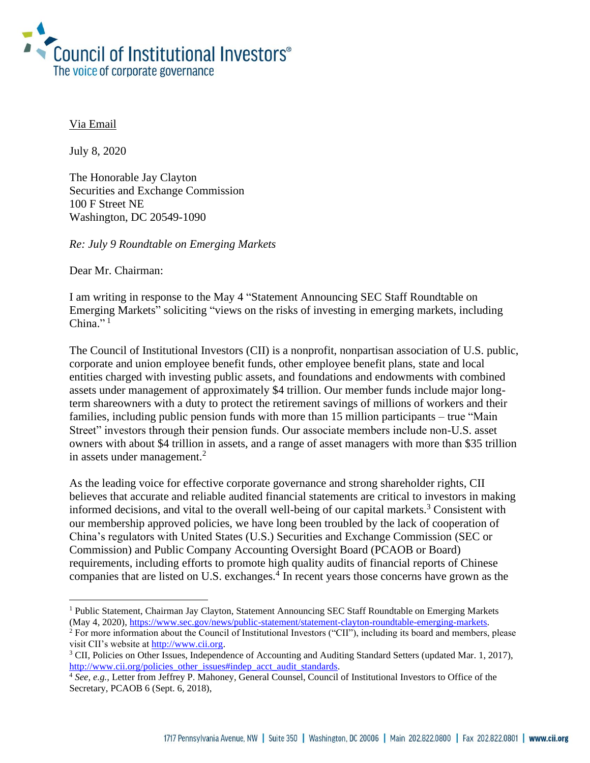

## Via Email

July 8, 2020

The Honorable Jay Clayton Securities and Exchange Commission 100 F Street NE Washington, DC 20549-1090

*Re: July 9 Roundtable on Emerging Markets* 

Dear Mr. Chairman:

I am writing in response to the May 4 "Statement Announcing SEC Staff Roundtable on Emerging Markets" soliciting "views on the risks of investing in emerging markets, including China."<sup>1</sup>

The Council of Institutional Investors (CII) is a nonprofit, nonpartisan association of U.S. public, corporate and union employee benefit funds, other employee benefit plans, state and local entities charged with investing public assets, and foundations and endowments with combined assets under management of approximately \$4 trillion. Our member funds include major longterm shareowners with a duty to protect the retirement savings of millions of workers and their families, including public pension funds with more than 15 million participants – true "Main Street" investors through their pension funds. Our associate members include non-U.S. asset owners with about \$4 trillion in assets, and a range of asset managers with more than \$35 trillion in assets under management.<sup>2</sup>

As the leading voice for effective corporate governance and strong shareholder rights, CII believes that accurate and reliable audited financial statements are critical to investors in making informed decisions, and vital to the overall well-being of our capital markets.<sup>3</sup> Consistent with our membership approved policies, we have long been troubled by the lack of cooperation of China's regulators with United States (U.S.) Securities and Exchange Commission (SEC or Commission) and Public Company Accounting Oversight Board (PCAOB or Board) requirements, including efforts to promote high quality audits of financial reports of Chinese companies that are listed on U.S. exchanges.<sup>4</sup> In recent years those concerns have grown as the

<sup>&</sup>lt;sup>1</sup> Public Statement, Chairman Jay Clayton, Statement Announcing SEC Staff Roundtable on Emerging Markets (May 4, 2020)[, https://www.sec.gov/news/public-statement/statement-clayton-roundtable-emerging-markets.](https://www.sec.gov/news/public-statement/statement-clayton-roundtable-emerging-markets)

<sup>&</sup>lt;sup>2</sup> For more information about the Council of Institutional Investors ("CII"), including its board and members, please visit CII's website at [http://www.cii.org.](http://www.cii.org/)

<sup>&</sup>lt;sup>3</sup> CII, Policies on Other Issues, Independence of Accounting and Auditing Standard Setters (updated Mar. 1, 2017), [http://www.cii.org/policies\\_other\\_issues#indep\\_acct\\_audit\\_standards.](http://www.cii.org/policies_other_issues#indep_acct_audit_standards) 

<sup>4</sup> *See, e.g.,* Letter from Jeffrey P. Mahoney, General Counsel, Council of Institutional Investors to Office of the Secretary, PCAOB 6 (Sept. 6, 2018),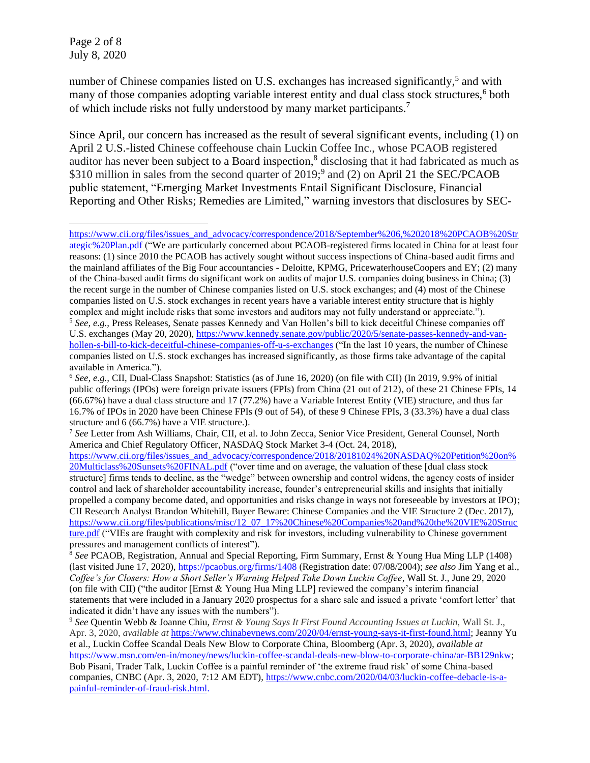number of Chinese companies listed on U.S. exchanges has increased significantly,<sup>5</sup> and with many of those companies adopting variable interest entity and dual class stock structures,<sup>6</sup> both of which include risks not fully understood by many market participants. 7

Since April, our concern has increased as the result of several significant events, including (1) on April 2 U.S.-listed Chinese coffeehouse chain Luckin Coffee Inc., whose PCAOB registered auditor has never been subject to a Board inspection,<sup>8</sup> disclosing that it had fabricated as much as \$310 million in sales from the second quarter of 2019;<sup>9</sup> and (2) on April 21 the SEC/PCAOB public statement, "Emerging Market Investments Entail Significant Disclosure, Financial Reporting and Other Risks; Remedies are Limited," warning investors that disclosures by SEC-

[https://www.cii.org/files/issues\\_and\\_advocacy/correspondence/2018/September%206,%202018%20PCAOB%20Str](https://www.cii.org/files/issues_and_advocacy/correspondence/2018/September%206,%202018%20PCAOB%20Strategic%20Plan.pdf) [ategic%20Plan.pdf](https://www.cii.org/files/issues_and_advocacy/correspondence/2018/September%206,%202018%20PCAOB%20Strategic%20Plan.pdf) ("We are particularly concerned about PCAOB-registered firms located in China for at least four reasons: (1) since 2010 the PCAOB has actively sought without success inspections of China-based audit firms and the mainland affiliates of the Big Four accountancies - Deloitte, KPMG, PricewaterhouseCoopers and EY; (2) many of the China-based audit firms do significant work on audits of major U.S. companies doing business in China; (3) the recent surge in the number of Chinese companies listed on U.S. stock exchanges; and (4) most of the Chinese companies listed on U.S. stock exchanges in recent years have a variable interest entity structure that is highly complex and might include risks that some investors and auditors may not fully understand or appreciate."). <sup>5</sup> *See, e.g.,* Press Releases[, Senate passes Kennedy and Van Hollen's bill to kick deceitful Chinese companies off](https://www.kennedy.senate.gov/public/press-releases?ID=09D30E00-F4C8-425A-836A-60BFD2B9483A)  [U.S. exchanges](https://www.kennedy.senate.gov/public/press-releases?ID=09D30E00-F4C8-425A-836A-60BFD2B9483A) (May 20, 2020), [https://www.kennedy.senate.gov/public/2020/5/senate-passes-kennedy-and-van](https://www.kennedy.senate.gov/public/2020/5/senate-passes-kennedy-and-van-hollen-s-bill-to-kick-deceitful-chinese-companies-off-u-s-exchanges)[hollen-s-bill-to-kick-deceitful-chinese-companies-off-u-s-exchanges](https://www.kennedy.senate.gov/public/2020/5/senate-passes-kennedy-and-van-hollen-s-bill-to-kick-deceitful-chinese-companies-off-u-s-exchanges) ("In the last 10 years, the number of Chinese companies listed on U.S. stock exchanges has increased significantly, as those firms take advantage of the capital available in America.").

<sup>7</sup> *See* Letter from Ash Williams, Chair, CII, et al. to John Zecca, Senior Vice President, General Counsel, North America and Chief Regulatory Officer, NASDAQ Stock Market 3-4 (Oct. 24, 2018),

[https://www.cii.org/files/issues\\_and\\_advocacy/correspondence/2018/20181024%20NASDAQ%20Petition%20on%](https://www.cii.org/files/issues_and_advocacy/correspondence/2018/20181024%20NASDAQ%20Petition%20on%20Multiclass%20Sunsets%20FINAL.pdf) [20Multiclass%20Sunsets%20FINAL.pdf](https://www.cii.org/files/issues_and_advocacy/correspondence/2018/20181024%20NASDAQ%20Petition%20on%20Multiclass%20Sunsets%20FINAL.pdf) ("over time and on average, the valuation of these [dual class stock structure] firms tends to decline, as the "wedge" between ownership and control widens, the agency costs of insider control and lack of shareholder accountability increase, founder's entrepreneurial skills and insights that initially propelled a company become dated, and opportunities and risks change in ways not foreseeable by investors at IPO); CII Research Analyst Brandon Whitehill, Buyer Beware: Chinese Companies and the VIE Structure 2 (Dec. 2017), [https://www.cii.org/files/publications/misc/12\\_07\\_17%20Chinese%20Companies%20and%20the%20VIE%20Struc](https://www.cii.org/files/publications/misc/12_07_17%20Chinese%20Companies%20and%20the%20VIE%20Structure.pdf) [ture.pdf](https://www.cii.org/files/publications/misc/12_07_17%20Chinese%20Companies%20and%20the%20VIE%20Structure.pdf) ("VIEs are fraught with complexity and risk for investors, including vulnerability to Chinese government pressures and management conflicts of interest").

<sup>8</sup> *See* PCAOB, Registration, Annual and Special Reporting, Firm Summary, Ernst & Young Hua Ming LLP (1408) (last visited June 17, 2020),<https://pcaobus.org/firms/1408> (Registration date: 07/08/2004); *see also* Jim Yang et al., *Coffee's for Closers: How a Short Seller's Warning Helped Take Down Luckin Coffee*, Wall St. J., June 29, 2020 (on file with CII) ("the auditor [Ernst & Young Hua Ming LLP] reviewed the company's interim financial statements that were included in a January 2020 prospectus for a share sale and issued a private 'comfort letter' that indicated it didn't have any issues with the numbers").

<sup>9</sup> *See* Quentin Webb & Joanne Chiu, *Ernst & Young Says It First Found Accounting Issues at Luckin,* Wall St. J., Apr. 3, 2020, *available at* [https://www.chinabevnews.com/2020/04/ernst-young-says-it-first-found.html;](https://www.chinabevnews.com/2020/04/ernst-young-says-it-first-found.html) Jeanny Yu et al., Luckin Coffee Scandal Deals New Blow to Corporate China, Bloomberg (Apr. 3, 2020), *available at*  [https://www.msn.com/en-in/money/news/luckin-coffee-scandal-deals-new-blow-to-corporate-china/ar-BB129nkw;](https://www.msn.com/en-in/money/news/luckin-coffee-scandal-deals-new-blow-to-corporate-china/ar-BB129nkw) [Bob Pisani,](https://www.cnbc.com/bob-pisani/) Trader Talk, Luckin Coffee is a painful reminder of 'the extreme fraud risk' of some China-based companies*,* CNBC (Apr. 3, 2020, 7:12 AM EDT), [https://www.cnbc.com/2020/04/03/luckin-coffee-debacle-is-a](https://www.cnbc.com/2020/04/03/luckin-coffee-debacle-is-a-painful-reminder-of-fraud-risk.html)[painful-reminder-of-fraud-risk.html.](https://www.cnbc.com/2020/04/03/luckin-coffee-debacle-is-a-painful-reminder-of-fraud-risk.html)

<sup>6</sup> *See, e.g.,* CII, Dual-Class Snapshot: Statistics (as of June 16, 2020) (on file with CII) (In 2019, 9.9% of initial public offerings (IPOs) were foreign private issuers (FPIs) from China (21 out of 212), of these 21 Chinese FPIs, 14 (66.67%) have a dual class structure and 17 (77.2%) have a Variable Interest Entity (VIE) structure, and thus far 16.7% of IPOs in 2020 have been Chinese FPIs (9 out of 54), of these 9 Chinese FPIs, 3 (33.3%) have a dual class structure and 6 (66.7%) have a VIE structure.).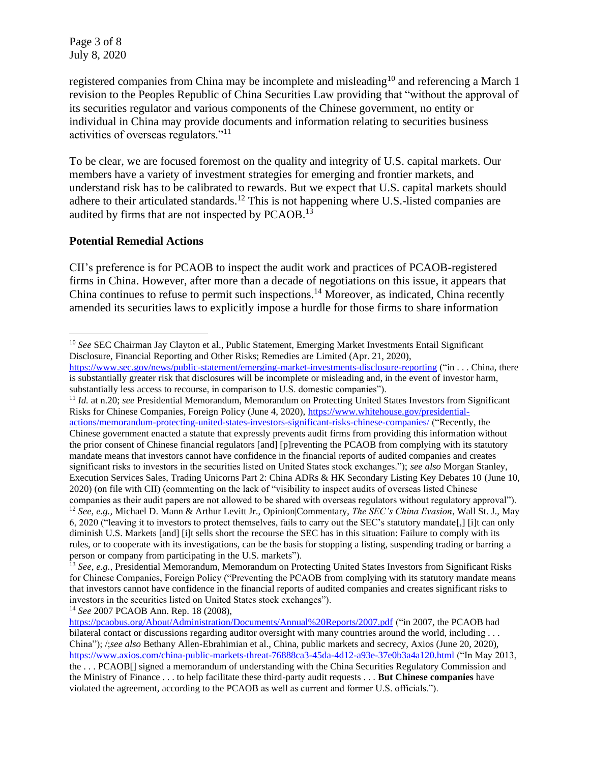Page 3 of 8 July 8, 2020

registered companies from China may be incomplete and misleading<sup>10</sup> and referencing a March 1 revision to the Peoples Republic of China Securities Law providing that "without the approval of its securities regulator and various components of the Chinese government, no entity or individual in China may provide documents and information relating to securities business activities of overseas regulators."<sup>11</sup>

To be clear, we are focused foremost on the quality and integrity of U.S. capital markets. Our members have a variety of investment strategies for emerging and frontier markets, and understand risk has to be calibrated to rewards. But we expect that U.S. capital markets should adhere to their articulated standards.<sup>12</sup> This is not happening where U.S.-listed companies are audited by firms that are not inspected by PCAOB.<sup>13</sup>

## **Potential Remedial Actions**

CII's preference is for PCAOB to inspect the audit work and practices of PCAOB-registered firms in China. However, after more than a decade of negotiations on this issue, it appears that China continues to refuse to permit such inspections.<sup>14</sup> Moreover, as indicated, China recently amended its securities laws to explicitly impose a hurdle for those firms to share information

<sup>11</sup> *Id.* at n.20; *see* Presidential Memorandum, Memorandum on Protecting United States Investors from Significant Risks for Chinese Companies, Foreign Policy (June 4, 2020), [https://www.whitehouse.gov/presidential](https://www.whitehouse.gov/presidential-actions/memorandum-protecting-united-states-investors-significant-risks-chinese-companies/)[actions/memorandum-protecting-united-states-investors-significant-risks-chinese-companies/](https://www.whitehouse.gov/presidential-actions/memorandum-protecting-united-states-investors-significant-risks-chinese-companies/) ("Recently, the Chinese government enacted a statute that expressly prevents audit firms from providing this information without the prior consent of Chinese financial regulators [and] [p]reventing the PCAOB from complying with its statutory mandate means that investors cannot have confidence in the financial reports of audited companies and creates significant risks to investors in the securities listed on United States stock exchanges."); *see also* Morgan Stanley, Execution Services Sales, Trading Unicorns Part 2: China ADRs & HK Secondary Listing Key Debates 10 (June 10, 2020) (on file with CII) (commenting on the lack of "visibility to inspect audits of overseas listed Chinese companies as their audit papers are not allowed to be shared with overseas regulators without regulatory approval"). <sup>12</sup> *See, e.g.,* Michael D. Mann & Arthur Levitt Jr., Opinion|Commentary, *The SEC's China Evasion*, Wall St. J., May 6, 2020 ("leaving it to investors to protect themselves, fails to carry out the SEC's statutory mandate[,] [i]t can only diminish U.S. Markets [and] [i]t sells short the recourse the SEC has in this situation: Failure to comply with its rules, or to cooperate with its investigations, can be the basis for stopping a listing, suspending trading or barring a person or company from participating in the U.S. markets").

<sup>14</sup> *See* 2007 PCAOB Ann. Rep. 18 (2008),

<sup>10</sup> *See* SEC Chairman Jay Clayton et al., Public Statement, Emerging Market Investments Entail Significant Disclosure, Financial Reporting and Other Risks; Remedies are Limited (Apr. 21, 2020),

<https://www.sec.gov/news/public-statement/emerging-market-investments-disclosure-reporting> ("in . . . China, there is substantially greater risk that disclosures will be incomplete or misleading and, in the event of investor harm, substantially less access to recourse, in comparison to U.S. domestic companies").

<sup>&</sup>lt;sup>13</sup> See, e.g., Presidential Memorandum, Memorandum on Protecting United States Investors from Significant Risks for Chinese Companies, Foreign Policy ("Preventing the PCAOB from complying with its statutory mandate means that investors cannot have confidence in the financial reports of audited companies and creates significant risks to investors in the securities listed on United States stock exchanges").

<https://pcaobus.org/About/Administration/Documents/Annual%20Reports/2007.pdf> ("in 2007, the PCAOB had bilateral contact or discussions regarding auditor oversight with many countries around the world, including ... China"); /;*see also* Bethany Allen-Ebrahimian et al., China, public markets and secrecy, Axios (June 20, 2020), <https://www.axios.com/china-public-markets-threat-76888ca3-45da-4d12-a93e-37e0b3a4a120.html> ("In May 2013, the . . . PCAOB[] signed a memorandum of understanding with the China Securities Regulatory Commission and

the Ministry of Finance . . . to help facilitate these third-party audit requests . . . **But Chinese companies** have violated the agreement, [according to the PCAOB](https://pcaobus.org/News/Releases/Pages/05202013_ChinaMOU.aspx) as well as current and former U.S. officials.").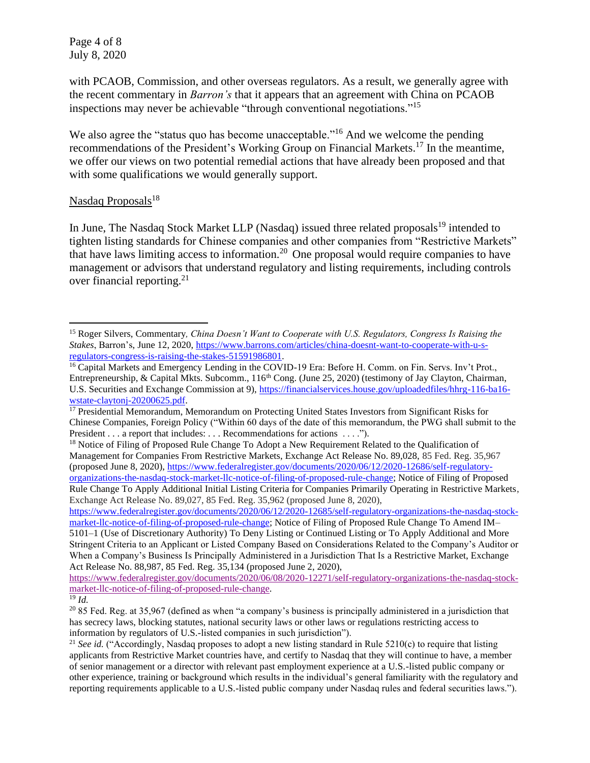Page 4 of 8 July 8, 2020

with PCAOB, Commission, and other overseas regulators. As a result, we generally agree with the recent commentary in *Barron's* that it appears that an agreement with China on PCAOB inspections may never be achievable "through conventional negotiations."<sup>15</sup>

We also agree the "status quo has become unacceptable."<sup>16</sup> And we welcome the pending recommendations of the President's Working Group on Financial Markets.<sup>17</sup> In the meantime, we offer our views on two potential remedial actions that have already been proposed and that with some qualifications we would generally support.

## Nasdaq Proposals<sup>18</sup>

In June, The Nasdaq Stock Market LLP (Nasdaq) issued three related proposals<sup>19</sup> intended to tighten listing standards for Chinese companies and other companies from "Restrictive Markets" that have laws limiting access to information.<sup>20</sup> One proposal would require companies to have management or advisors that understand regulatory and listing requirements, including controls over financial reporting.<sup>21</sup>

[https://www.federalregister.gov/documents/2020/06/08/2020-12271/self-regulatory-organizations-the-nasdaq-stock](https://www.federalregister.gov/documents/2020/06/08/2020-12271/self-regulatory-organizations-the-nasdaq-stock-market-llc-notice-of-filing-of-proposed-rule-change)[market-llc-notice-of-filing-of-proposed-rule-change.](https://www.federalregister.gov/documents/2020/06/08/2020-12271/self-regulatory-organizations-the-nasdaq-stock-market-llc-notice-of-filing-of-proposed-rule-change)

<sup>15</sup> Roger Silvers, Commentary*, China Doesn't Want to Cooperate with U.S. Regulators, Congress Is Raising the Stakes*, Barron's, June 12, 2020, [https://www.barrons.com/articles/china-doesnt-want-to-cooperate-with-u-s](https://www.barrons.com/articles/china-doesnt-want-to-cooperate-with-u-s-regulators-congress-is-raising-the-stakes-51591986801)[regulators-congress-is-raising-the-stakes-51591986801.](https://www.barrons.com/articles/china-doesnt-want-to-cooperate-with-u-s-regulators-congress-is-raising-the-stakes-51591986801)

<sup>&</sup>lt;sup>16</sup> Capital Markets and Emergency Lending in the COVID-19 Era: Before H. Comm. on Fin. Servs. Inv't Prot., Entrepreneurship, & Capital Mkts. Subcomm.,  $116<sup>th</sup>$  Cong. (June 25, 2020) (testimony of Jay Clayton, Chairman, U.S. Securities and Exchange Commission at 9), [https://financialservices.house.gov/uploadedfiles/hhrg-116-ba16](https://financialservices.house.gov/uploadedfiles/hhrg-116-ba16-wstate-claytonj-20200625.pdf) [wstate-claytonj-20200625.pdf.](https://financialservices.house.gov/uploadedfiles/hhrg-116-ba16-wstate-claytonj-20200625.pdf)

<sup>&</sup>lt;sup>17</sup> Presidential Memorandum, Memorandum on Protecting United States Investors from Significant Risks for Chinese Companies, Foreign Policy ("Within 60 days of the date of this memorandum, the PWG shall submit to the President . . . a report that includes: . . . Recommendations for actions . . . .").

<sup>&</sup>lt;sup>18</sup> Notice of Filing of Proposed Rule Change To Adopt a New Requirement Related to the Qualification of Management for Companies From Restrictive Markets, Exchange Act Release No. 89,028, 85 Fed. Reg. 35,967 (proposed June 8, 2020)[, https://www.federalregister.gov/documents/2020/06/12/2020-12686/self-regulatory](https://www.federalregister.gov/documents/2020/06/12/2020-12686/self-regulatory-organizations-the-nasdaq-stock-market-llc-notice-of-filing-of-proposed-rule-change)[organizations-the-nasdaq-stock-market-llc-notice-of-filing-of-proposed-rule-change;](https://www.federalregister.gov/documents/2020/06/12/2020-12686/self-regulatory-organizations-the-nasdaq-stock-market-llc-notice-of-filing-of-proposed-rule-change) Notice of Filing of Proposed Rule Change To Apply Additional Initial Listing Criteria for Companies Primarily Operating in Restrictive Markets,

Exchange Act Release No. 89,027, 85 Fed. Reg. 35,962 (proposed June 8, 2020), [https://www.federalregister.gov/documents/2020/06/12/2020-12685/self-regulatory-organizations-the-nasdaq-stock-](https://www.federalregister.gov/documents/2020/06/12/2020-12685/self-regulatory-organizations-the-nasdaq-stock-market-llc-notice-of-filing-of-proposed-rule-change)

[market-llc-notice-of-filing-of-proposed-rule-change;](https://www.federalregister.gov/documents/2020/06/12/2020-12685/self-regulatory-organizations-the-nasdaq-stock-market-llc-notice-of-filing-of-proposed-rule-change) Notice of Filing of Proposed Rule Change To Amend IM– 5101–1 (Use of Discretionary Authority) To Deny Listing or Continued Listing or To Apply Additional and More Stringent Criteria to an Applicant or Listed Company Based on Considerations Related to the Company's Auditor or When a Company's Business Is Principally Administered in a Jurisdiction That Is a Restrictive Market, Exchange Act Release No. 88,987, 85 Fed. Reg. 35,134 (proposed June 2, 2020),

 $\overline{^{19}}$ *Id.* 

 $2085$  Fed. Reg. at 35,967 (defined as when "a company's business is principally administered in a jurisdiction that has secrecy laws, blocking statutes, national security laws or other laws or regulations restricting access to information by regulators of U.S.-listed companies in such jurisdiction").

<sup>21</sup> *See id.* ("Accordingly, Nasdaq proposes to adopt a new listing standard in Rule 5210(c) to require that listing applicants from Restrictive Market countries have, and certify to Nasdaq that they will continue to have, a member of senior management or a director with relevant past employment experience at a U.S.-listed public company or other experience, training or background which results in the individual's general familiarity with the regulatory and reporting requirements applicable to a U.S.-listed public company under Nasdaq rules and federal securities laws.").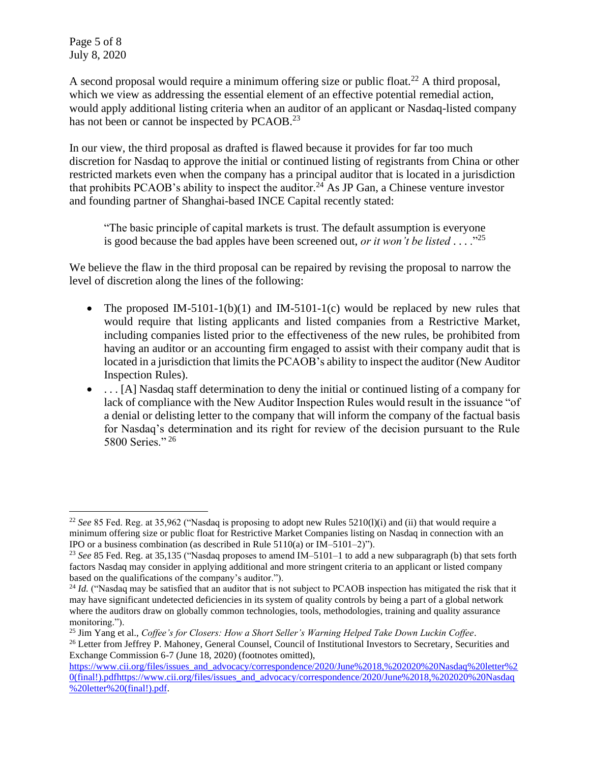Page 5 of 8 July 8, 2020

A second proposal would require a minimum offering size or public float.<sup>22</sup> A third proposal, which we view as addressing the essential element of an effective potential remedial action, would apply additional listing criteria when an auditor of an applicant or Nasdaq-listed company has not been or cannot be inspected by PCAOB.<sup>23</sup>

In our view, the third proposal as drafted is flawed because it provides for far too much discretion for Nasdaq to approve the initial or continued listing of registrants from China or other restricted markets even when the company has a principal auditor that is located in a jurisdiction that prohibits PCAOB's ability to inspect the auditor.<sup>24</sup> As JP Gan, a Chinese venture investor and founding partner of Shanghai-based INCE Capital recently stated:

"The basic principle of capital markets is trust. The default assumption is everyone is good because the bad apples have been screened out, *or it won't be listed* . . . .<sup>225</sup>

We believe the flaw in the third proposal can be repaired by revising the proposal to narrow the level of discretion along the lines of the following:

- The proposed IM-5101-1(b)(1) and IM-5101-1(c) would be replaced by new rules that would require that listing applicants and listed companies from a Restrictive Market, including companies listed prior to the effectiveness of the new rules, be prohibited from having an auditor or an accounting firm engaged to assist with their company audit that is located in a jurisdiction that limits the PCAOB's ability to inspect the auditor (New Auditor Inspection Rules).
- ... [A] Nasdaq staff determination to deny the initial or continued listing of a company for lack of compliance with the New Auditor Inspection Rules would result in the issuance "of a denial or delisting letter to the company that will inform the company of the factual basis for Nasdaq's determination and its right for review of the decision pursuant to the Rule 5800 Series."<sup>26</sup>

<sup>&</sup>lt;sup>22</sup> See 85 Fed. Reg. at 35,962 ("Nasdaq is proposing to adopt new Rules 5210(l)(i) and (ii) that would require a minimum offering size or public float for Restrictive Market Companies listing on Nasdaq in connection with an IPO or a business combination (as described in Rule 5110(a) or IM–5101–2)").

<sup>23</sup> *See* 85 Fed. Reg. at 35,135 ("Nasdaq proposes to amend IM–5101–1 to add a new subparagraph (b) that sets forth factors Nasdaq may consider in applying additional and more stringent criteria to an applicant or listed company based on the qualifications of the company's auditor.").

<sup>&</sup>lt;sup>24</sup> *Id.* ("Nasdaq may be satisfied that an auditor that is not subject to PCAOB inspection has mitigated the risk that it may have significant undetected deficiencies in its system of quality controls by being a part of a global network where the auditors draw on globally common technologies, tools, methodologies, training and quality assurance monitoring.").

<sup>25</sup> Jim Yang et al., *Coffee's for Closers: How a Short Seller's Warning Helped Take Down Luckin Coffee*. <sup>26</sup> Letter from Jeffrey P. Mahoney, General Counsel, Council of Institutional Investors to Secretary, Securities and Exchange Commission 6-7 (June 18, 2020) (footnotes omitted),

[https://www.cii.org/files/issues\\_and\\_advocacy/correspondence/2020/June%2018,%202020%20Nasdaq%20letter%2](https://www.cii.org/files/issues_and_advocacy/correspondence/2020/June%2018,%202020%20Nasdaq%20letter%20(final!).pdf) 0(final!).pdfhttps://www.cii.org/files/issues\_and\_advocacy/correspondence/2020/June%2018.%202020%20Nasdaq [%20letter%20\(final!\).pdf.](https://www.cii.org/files/issues_and_advocacy/correspondence/2020/June%2018,%202020%20Nasdaq%20letter%20(final!).pdf)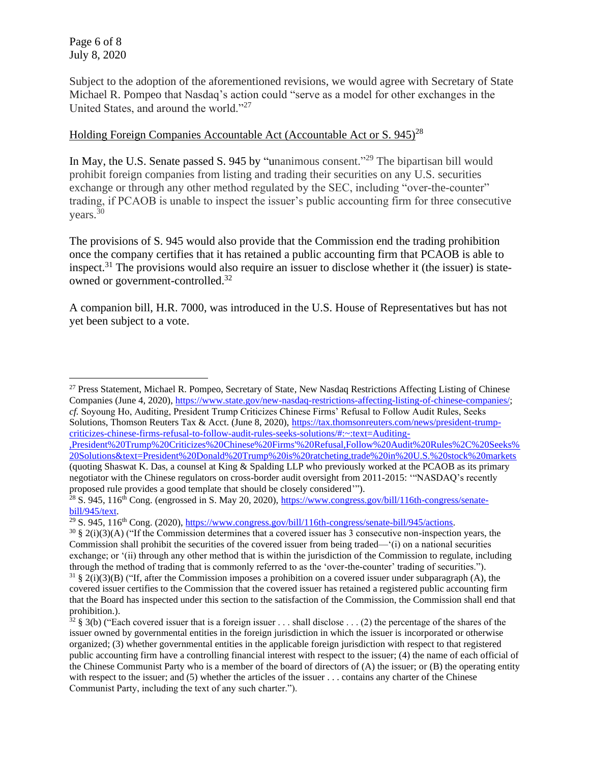Page 6 of 8 July 8, 2020

Subject to the adoption of the aforementioned revisions, we would agree with Secretary of State Michael R. Pompeo that Nasdaq's action could "serve as a model for other exchanges in the United States, and around the world."<sup>27</sup>

## Holding Foreign Companies Accountable Act (Accountable Act or S. 945)<sup>28</sup>

In May, the U.S. Senate passed S. 945 by "unanimous consent."<sup>29</sup> The bipartisan bill would prohibit foreign companies from listing and trading their securities on any U.S. securities exchange or through any other method regulated by the SEC, including "over-the-counter" trading, if PCAOB is unable to inspect the issuer's public accounting firm for three consecutive years.<sup>30</sup>

The provisions of S. 945 would also provide that the Commission end the trading prohibition once the company certifies that it has retained a public accounting firm that PCAOB is able to inspect.<sup>31</sup> The provisions would also require an issuer to disclose whether it (the issuer) is stateowned or government-controlled.<sup>32</sup>

A companion bill, H.R. 7000, was introduced in the U.S. House of Representatives but has not yet been subject to a vote.

[,President%20Trump%20Criticizes%20Chinese%20Firms'%20Refusal,Follow%20Audit%20Rules%2C%20Seeks%](https://tax.thomsonreuters.com/news/president-trump-criticizes-chinese-firms-refusal-to-follow-audit-rules-seeks-solutions/#:~:text=Auditing-,President%20Trump%20Criticizes%20Chinese%20Firms) [20Solutions&text=President%20Donald%20Trump%20is%20ratcheting,trade%20in%20U.S.%20stock%20markets](https://tax.thomsonreuters.com/news/president-trump-criticizes-chinese-firms-refusal-to-follow-audit-rules-seeks-solutions/#:~:text=Auditing-,President%20Trump%20Criticizes%20Chinese%20Firms)  (quoting Shaswat K. Das, a counsel at King & Spalding LLP who previously worked at the PCAOB as its primary negotiator with the Chinese regulators on cross-border audit oversight from 2011-2015: '"NASDAQ's recently proposed rule provides a good template that should be closely considered'").

<sup>&</sup>lt;sup>27</sup> Press Statement, Michael R. Pompeo, Secretary of State, New Nasdaq Restrictions Affecting Listing of Chinese Companies (June 4, 2020), [https://www.state.gov/new-nasdaq-restrictions-affecting-listing-of-chinese-companies/;](https://www.state.gov/new-nasdaq-restrictions-affecting-listing-of-chinese-companies/) *cf.* Soyoung Ho, Auditing, President Trump Criticizes Chinese Firms' Refusal to Follow Audit Rules, Seeks Solutions, Thomson Reuters Tax & Acct. (June 8, 2020), [https://tax.thomsonreuters.com/news/president-trump](https://tax.thomsonreuters.com/news/president-trump-criticizes-chinese-firms-refusal-to-follow-audit-rules-seeks-solutions/#:~:text=Auditing-,President%20Trump%20Criticizes%20Chinese%20Firms)[criticizes-chinese-firms-refusal-to-follow-audit-rules-seeks-solutions/#:~:text=Auditing-](https://tax.thomsonreuters.com/news/president-trump-criticizes-chinese-firms-refusal-to-follow-audit-rules-seeks-solutions/#:~:text=Auditing-,President%20Trump%20Criticizes%20Chinese%20Firms)

<sup>&</sup>lt;sup>28</sup> S. 945, 116<sup>th</sup> Cong. (engrossed in S. May 20, 2020)[, https://www.congress.gov/bill/116th-congress/senate](https://www.congress.gov/bill/116th-congress/senate-bill/945/text)[bill/945/text.](https://www.congress.gov/bill/116th-congress/senate-bill/945/text)

 $^{29}$  S. 945, 116<sup>th</sup> Cong. (2020), [https://www.congress.gov/bill/116th-congress/senate-bill/945/actions.](https://www.congress.gov/bill/116th-congress/senate-bill/945/actions)

 $30 \& 2(i)(3)(A)$  ("If the Commission determines that a covered issuer has 3 consecutive non-inspection years, the Commission shall prohibit the securities of the covered issuer from being traded—'(i) on a national securities exchange; or '(ii) through any other method that is within the jurisdiction of the Commission to regulate, including through the method of trading that is commonly referred to as the 'over-the-counter' trading of securities.").  $31 \text{ }\frac{31}{2}$  (i)(3)(B) ("If, after the Commission imposes a prohibition on a covered issuer under subparagraph (A), the

covered issuer certifies to the Commission that the covered issuer has retained a registered public accounting firm that the Board has inspected under this section to the satisfaction of the Commission, the Commission shall end that prohibition.).

 $32 \text{ }\frac{32}{3}$  (b) ("Each covered issuer that is a foreign issuer ... shall disclose ... (2) the percentage of the shares of the issuer owned by governmental entities in the foreign jurisdiction in which the issuer is incorporated or otherwise organized; (3) whether governmental entities in the applicable foreign jurisdiction with respect to that registered public accounting firm have a controlling financial interest with respect to the issuer; (4) the name of each official of the Chinese Communist Party who is a member of the board of directors of (A) the issuer; or (B) the operating entity with respect to the issuer; and (5) whether the articles of the issuer . . . contains any charter of the Chinese Communist Party, including the text of any such charter.").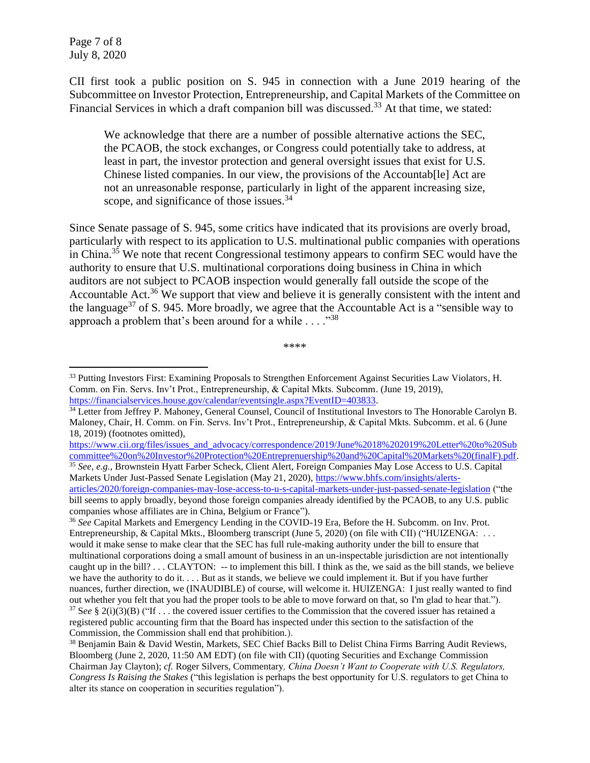Page 7 of 8 July 8, 2020

CII first took a public position on S. 945 in connection with a June 2019 hearing of the Subcommittee on Investor Protection, Entrepreneurship, and Capital Markets of the Committee on Financial Services in which a draft companion bill was discussed.<sup>33</sup> At that time, we stated:

We acknowledge that there are a number of possible alternative actions the SEC, the PCAOB, the stock exchanges, or Congress could potentially take to address, at least in part, the investor protection and general oversight issues that exist for U.S. Chinese listed companies. In our view, the provisions of the Accountab[le] Act are not an unreasonable response, particularly in light of the apparent increasing size, scope, and significance of those issues.<sup>34</sup>

Since Senate passage of S. 945, some critics have indicated that its provisions are overly broad, particularly with respect to its application to U.S. multinational public companies with operations in China.<sup>35</sup> We note that recent Congressional testimony appears to confirm SEC would have the authority to ensure that U.S. multinational corporations doing business in China in which auditors are not subject to PCAOB inspection would generally fall outside the scope of the Accountable Act.<sup>36</sup> We support that view and believe it is generally consistent with the intent and the language<sup>37</sup> of S. 945. More broadly, we agree that the Accountable Act is a "sensible way to approach a problem that's been around for a while  $\dots$ ."<sup>38</sup>

\*\*\*\*

[https://www.cii.org/files/issues\\_and\\_advocacy/correspondence/2019/June%2018%202019%20Letter%20to%20Sub](https://www.cii.org/files/issues_and_advocacy/correspondence/2019/June%2018%202019%20Letter%20to%20Subcommittee%20on%20Investor%20Protection%20Entreprenuership%20and%20Capital%20Markets%20(finalF).pdf) [committee%20on%20Investor%20Protection%20Entreprenuership%20and%20Capital%20Markets%20\(finalF\).pdf.](https://www.cii.org/files/issues_and_advocacy/correspondence/2019/June%2018%202019%20Letter%20to%20Subcommittee%20on%20Investor%20Protection%20Entreprenuership%20and%20Capital%20Markets%20(finalF).pdf) <sup>35</sup> See, e.g., Brownstein Hyatt Farber Scheck, Client Alert, Foreign Companies May Lose Access to U.S. Capital

Markets Under Just-Passed Senate Legislation (May 21, 2020), [https://www.bhfs.com/insights/alerts](https://www.bhfs.com/insights/alerts-articles/2020/foreign-companies-may-lose-access-to-u-s-capital-markets-under-just-passed-senate-legislation)[articles/2020/foreign-companies-may-lose-access-to-u-s-capital-markets-under-just-passed-senate-legislation](https://www.bhfs.com/insights/alerts-articles/2020/foreign-companies-may-lose-access-to-u-s-capital-markets-under-just-passed-senate-legislation) ("the

<sup>&</sup>lt;sup>33</sup> Putting Investors First: Examining Proposals to Strengthen Enforcement Against Securities Law Violators, H. Comm. on Fin. Servs. Inv't Prot., Entrepreneurship, & Capital Mkts. Subcomm. (June 19, 2019), [https://financialservices.house.gov/calendar/eventsingle.aspx?EventID=403833.](https://financialservices.house.gov/calendar/eventsingle.aspx?EventID=403833)

<sup>&</sup>lt;sup>34</sup> Letter from Jeffrey P. Mahoney, General Counsel, Council of Institutional Investors to The Honorable Carolyn B. Maloney, Chair, H. Comm. on Fin. Servs. Inv't Prot., Entrepreneurship, & Capital Mkts. Subcomm. et al. 6 (June 18, 2019) (footnotes omitted),

bill seems to apply broadly, beyond those foreign companies already identified by the PCAOB, to any U.S. public companies whose affiliates are in China, Belgium or France").

<sup>36</sup> *See* Capital Markets and Emergency Lending in the COVID-19 Era, Before the H. Subcomm. on Inv. Prot. Entrepreneurship, & Capital Mkts., Bloomberg transcript (June 5, 2020) (on file with CII) ("HUIZENGA: ... would it make sense to make clear that the SEC has full rule-making authority under the bill to ensure that multinational corporations doing a small amount of business in an un-inspectable jurisdiction are not intentionally caught up in the bill? . . . CLAYTON: -- to implement this bill. I think as the, we said as the bill stands, we believe we have the authority to do it. . . . But as it stands, we believe we could implement it. But if you have further nuances, further direction, we (INAUDIBLE) of course, will welcome it. HUIZENGA: I just really wanted to find out whether you felt that you had the proper tools to be able to move forward on that, so I'm glad to hear that."). <sup>37</sup> See § 2(i)(3)(B) ("If ... the covered issuer certifies to the Commission that the covered issuer has retained a registered public accounting firm that the Board has inspected under this section to the satisfaction of the Commission, the Commission shall end that prohibition.).

<sup>38</sup> Benjamin Bain & David Westin, Markets, SEC Chief Backs Bill to Delist China Firms Barring Audit Reviews, Bloomberg (June 2, 2020, 11:50 AM EDT) (on file with CII) (quoting Securities and Exchange Commission Chairman Jay Clayton); *cf.* Roger Silvers, Commentary*, China Doesn't Want to Cooperate with U.S. Regulators, Congress Is Raising the Stakes* ("this legislation is perhaps the best opportunity for U.S. regulators to get China to alter its stance on cooperation in securities regulation").